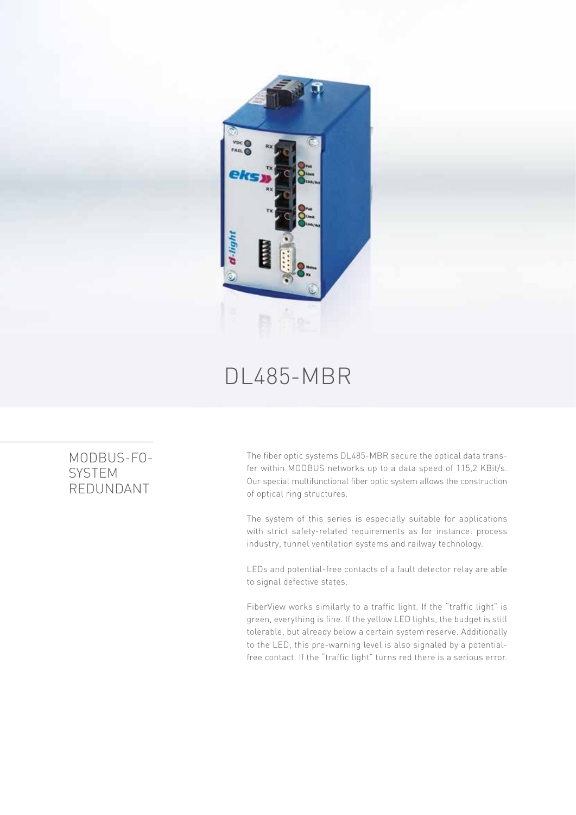

## DL485-MBR

## MODBUS-FO-**SYSTEM** REDUNDANT

The fiber optic systems DL485-MBR secure the optical data transfer within MODBUS networks up to a data speed of 115,2 KBit/s. Our special multifunctional fiber optic system allows the construction of optical ring structures.

The system of this series is especially suitable for applications with strict safety-related requirements as for instance: process industry, tunnel ventilation systems and railway technology.

LEDs and potential-free contacts of a fault detector relay are able to signal defective states.

FiberView works similarly to a traffic light. If the "traffic light" is green, everything is fine. If the yellow LED lights, the budget is still tolerable, but already below a certain system reserve. Additionally to the LED, this pre-warning level is also signaled by a potentialfree contact. If the "traffic light" turns red there is a serious error.